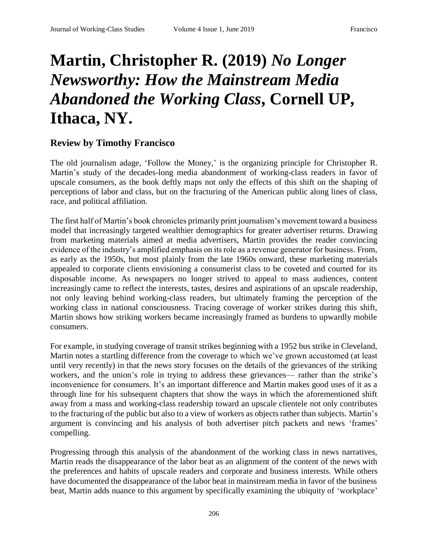## **Martin, Christopher R. (2019)** *No Longer Newsworthy: How the Mainstream Media Abandoned the Working Class***, Cornell UP, Ithaca, NY.**

## **Review by Timothy Francisco**

The old journalism adage, 'Follow the Money,' is the organizing principle for Christopher R. Martin's study of the decades-long media abandonment of working-class readers in favor of upscale consumers, as the book deftly maps not only the effects of this shift on the shaping of perceptions of labor and class, but on the fracturing of the American public along lines of class, race, and political affiliation.

The first half of Martin's book chronicles primarily print journalism's movement toward a business model that increasingly targeted wealthier demographics for greater advertiser returns. Drawing from marketing materials aimed at media advertisers, Martin provides the reader convincing evidence of the industry's amplified emphasis on its role as a revenue generator for business. From, as early as the 1950s, but most plainly from the late 1960s onward, these marketing materials appealed to corporate clients envisioning a consumerist class to be coveted and courted for its disposable income. As newspapers no longer strived to appeal to mass audiences, content increasingly came to reflect the interests, tastes, desires and aspirations of an upscale readership, not only leaving behind working-class readers, but ultimately framing the perception of the working class in national consciousness. Tracing coverage of worker strikes during this shift, Martin shows how striking workers became increasingly framed as burdens to upwardly mobile consumers.

For example, in studying coverage of transit strikes beginning with a 1952 bus strike in Cleveland, Martin notes a startling difference from the coverage to which we've grown accustomed (at least until very recently) in that the news story focuses on the details of the grievances of the striking workers, and the union's role in trying to address these grievances— rather than the strike's inconvenience for consumers. It's an important difference and Martin makes good uses of it as a through line for his subsequent chapters that show the ways in which the aforementioned shift away from a mass and working-class readership toward an upscale clientele not only contributes to the fracturing of the public but also to a view of workers as objects rather than subjects. Martin's argument is convincing and his analysis of both advertiser pitch packets and news 'frames' compelling.

Progressing through this analysis of the abandonment of the working class in news narratives, Martin reads the disappearance of the labor beat as an alignment of the content of the news with the preferences and habits of upscale readers and corporate and business interests. While others have documented the disappearance of the labor beat in mainstream media in favor of the business beat, Martin adds nuance to this argument by specifically examining the ubiquity of 'workplace'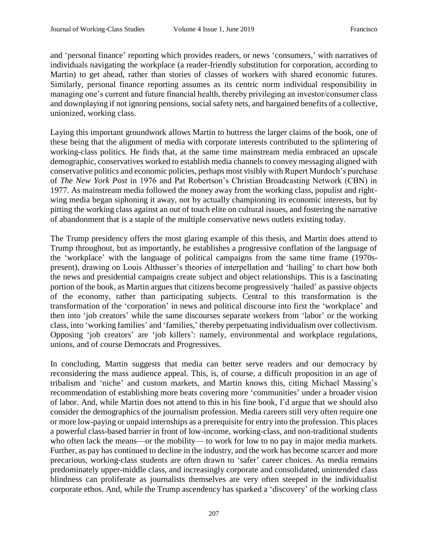and 'personal finance' reporting which provides readers, or news 'consumers,' with narratives of individuals navigating the workplace (a reader-friendly substitution for corporation, according to Martin) to get ahead, rather than stories of classes of workers with shared economic futures. Similarly, personal finance reporting assumes as its centric norm individual responsibility in managing one's current and future financial health, thereby privileging an investor/consumer class and downplaying if not ignoring pensions, social safety nets, and bargained benefits of a collective, unionized, working class.

Laying this important groundwork allows Martin to buttress the larger claims of the book, one of these being that the alignment of media with corporate interests contributed to the splintering of working-class politics. He finds that, at the same time mainstream media embraced an upscale demographic, conservatives worked to establish media channels to convey messaging aligned with conservative politics and economic policies, perhaps most visibly with Rupert Murdoch's purchase of *The New York Post* in 1976 and Pat Robertson's Christian Broadcasting Network (CBN) in 1977. As mainstream media followed the money away from the working class, populist and rightwing media began siphoning it away, not by actually championing its economic interests, but by pitting the working class against an out of touch elite on cultural issues, and fostering the narrative of abandonment that is a staple of the multiple conservative news outlets existing today.

The Trump presidency offers the most glaring example of this thesis, and Martin does attend to Trump throughout, but as importantly, he establishes a progressive conflation of the language of the 'workplace' with the language of political campaigns from the same time frame (1970spresent), drawing on Louis Althusser's theories of interpellation and 'hailing' to chart how both the news and presidential campaigns create subject and object relationships. This is a fascinating portion of the book, as Martin argues that citizens become progressively 'hailed' as passive objects of the economy, rather than participating subjects. Central to this transformation is the transformation of the 'corporation' in news and political discourse into first the 'workplace' and then into 'job creators' while the same discourses separate workers from 'labor' or the working class, into 'working families' and 'families,' thereby perpetuating individualism over collectivism. Opposing 'job creators' are 'job killers': namely, environmental and workplace regulations, unions, and of course Democrats and Progressives.

In concluding, Martin suggests that media can better serve readers and our democracy by reconsidering the mass audience appeal. This, is, of course, a difficult proposition in an age of tribalism and 'niche' and custom markets, and Martin knows this, citing Michael Massing's recommendation of establishing more beats covering more 'communities' under a broader vision of labor. And, while Martin does not attend to this in his fine book, I'd argue that we should also consider the demographics of the journalism profession. Media careers still very often require one or more low-paying or unpaid internships as a prerequisite for entry into the profession. This places a powerful class-based barrier in front of low-income, working-class, and non-traditional students who often lack the means—or the mobility— to work for low to no pay in major media markets. Further, as pay has continued to decline in the industry, and the work has become scarcer and more precarious, working-class students are often drawn to 'safer' career choices. As media remains predominately upper-middle class, and increasingly corporate and consolidated, unintended class blindness can proliferate as journalists themselves are very often steeped in the individualist corporate ethos. And, while the Trump ascendency has sparked a 'discovery' of the working class